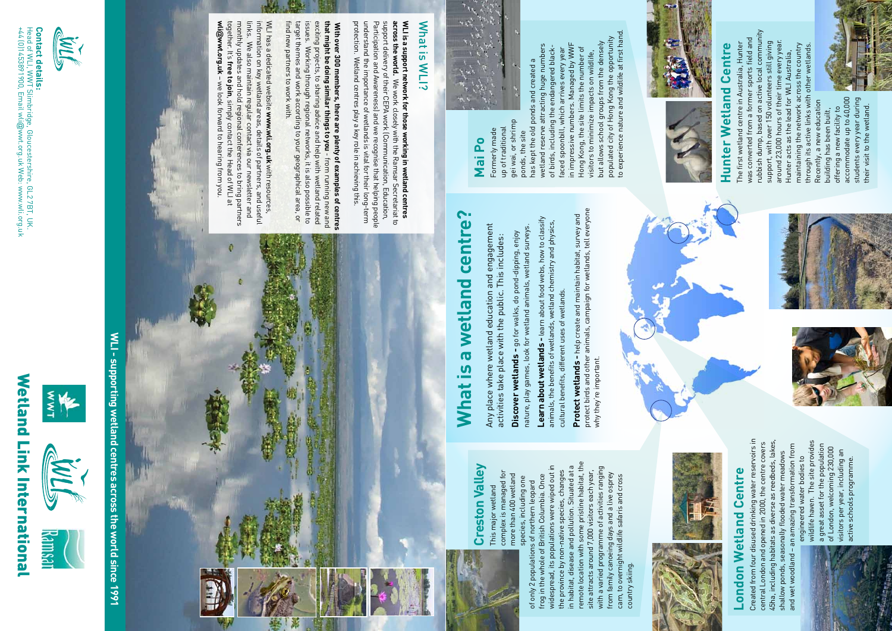# Hunter Wetland Centre **Hunter Wetland Centre**

rubbish dump, based on active local community rubbish dump, based on active local community was converted from a former sports field and The first wetland centre in Australia, Hunter<br>was converted from a former sports field and around 23,000 hours of their time every year. The first wetland centre in Australia, Hunter support, with over 150 volunteers still giving around 23,000 hours of their time every year. support, with over 150 volunteers still giving through its active links with other wetlands. maintaining the network across the country<br>through its active links with other wetlands. maintaining the network across the country Hunter acts as the lead for WLI Australia, Hunter acts as the lead for WLI Australia, Recently, a new education Recently, a new education building has been built,



### **Creston Valley Creston Valley**

remote location with some pristine habitat, the in habitat, disease and pollution. Situated at a<br>remote location with some pristine habitat, the widespread, its populations were wiped out in widespread, its populations were wiped out in in habitat, disease and pollution. Situated at a with a varied programme of activities ranging with a varied programme of activities ranging site attracts around 7,000 visitors each year, the province by non-native species, changes the province by non-native species, changes site attracts around 7,000 visitors each year, from family canoeing days and a live osprey from family canoeing days and a live osprey frog in the whole of British Columbia. Once frog in the whole of British Columbia. Once cam, to overnight wildlife safaris and cross cam, to overnight wildlife safaris and cross of only 2 populations of northern leopard of only 2 populations of northern leopard country skiing. country skiing building has been built, offering a new facility to accommodate up to 40,000 students every year during their visit to the wetland.

offering a new facility to

accommodate up to 40,000 students every year during<br>their visit to the wetland.

# **London Wetland Centre London Wetland Centre**

Created from four disused drinking water reservoirs in<br>central London and opened in 2000, the centre covers<br>45ha, including habitats as diverse as reedbeds, lakes, Created from four disused drinking water reservoirs in 45ha, including habitats as diverse as reedbeds, lakes, central London and opened in 2000, the centre covers and wet woodland - an amazing transformation from and wet woodland – an amazing transformation from shallow ponds, seasonally flooded water meadows shallow ponds, seasonally flooded water meadows

complex is managed for complex is managed for more than 400 wetland more than 400 wetland species, including one species, including one This major wetland This major wetland

up of traditional up of traditional Formerly made Formerly made

gei wai, or shrimp gei wai, or shrimp ponds, the site ponds, the site

but allows school groups from the densely<br>populated city of Hong Kong the opportunity<br>to experience nature and wildlife at first hand. to experience nature and wildlife at first hand. populated city of Hong Kong the opportunity but allows school groups from the densely in impressive numbers. Managed by WWF wetland reserve attracting huge numbers in impressive numbers. Managed by WWF wetland reserve attracting huge numbers<br>of birds, including the endangered blackfaced spoonbill, which arrives every year Hong Kong, the site limits the number of of birds, including the endangered black-Hong Kong, the site limits the number of faced spoonbill, which arrives every year visitors to minimize impacts on wildlife, visitors to minimize impacts on wildlife, has kept the old ponds and created a has kept the old ponds and created a



wildlife haven. The site provides wildlife haven. The site provides a great asset for the population a great asset for the population of London, welcoming 230,000 of London, welcoming 230,000 visitors per year, including an visitors per year, including an engineered water bodies to engineered water bodies to active schools programme. active schools programme.





## **Mai Po**

Head of WLI, WWT Slimbridge, Gloucestershire, GL2 7BT, GL2 7BT, GL2 7BT, UK.<br>+44 (0)1453891900, Email wli@wwt orgule Web: www.wli.orguk lead of WLI, WWT Slimbridge, Gloucestershire, GL2 7BT, UK.<br>44 (0)1453891900, Email wli@wwt.org.uk Web: www.wli.org.uk wwt.org.uk Web: www.wli.org.uk

WLI - supporting wetland centres across the world since 1991 **WLI - supporting wetland centres across the world since 1991**

**What is a wetland centre?**

What is

a wetland centre?

Any place where wetland education and engagement activities take place with the public. This includes:

activities take place with the public. This includes:

Any place where wetland education and engagement

**Discover wetlands -** go for walks, do pond-dipping, enjoy nature, play games, look for wetland animals, wetland surveys.

nature, play games, look for wetland animals, wetland surveys. Discover wetlands - go for walks, do pond-dipping, enjoy

**Learn about wetlands -** learn about food webs, how to classify animals, the benefits of wetlands, wetland chemistry and physics,

**Learn about wetlands -** learn about food webs, how to classify<br>animals, the benefits of wetlands, wetland chemistry and physics,

cultural benefits, different uses of wetlands.

cultural benefits, different uses of wetlands.

**Protect wetlands -** help create and maintain habitat, survey and protect birds and other animals, campaign for wetlands, tell everyone

**Protect wetlands -** help create and maintain habitat, survey and<br>protect birds and other animals, campaign for wetlands, tell everyone<br>why they re important.

why they're important.

**across the world.**

**that might be doing similar things to you**

WLI has a dedicated website

find new partners to work with.

find new partners to work with.

What is WLI?

What is WLI?





together. It's



# Wetland Link International